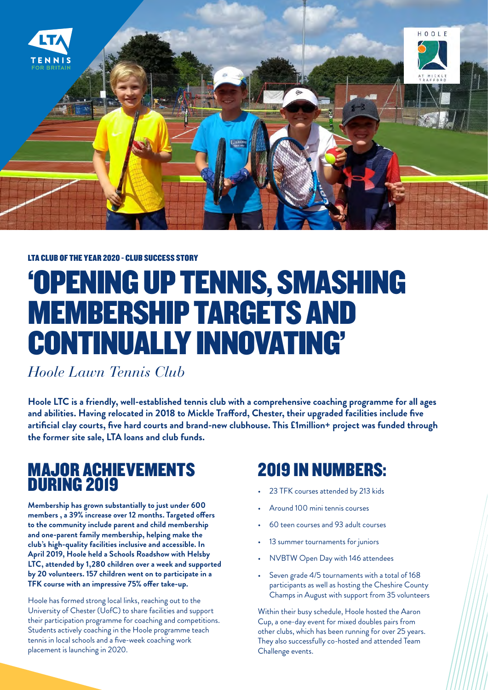

#### LTA CLUB OF THE YEAR 2020 - CLUB SUCCESS STORY

# 'OPENING UP TENNIS, SMASHING MEMBERSHIP TARGETS AND CONTINUALLY INNOVATING'

*Hoole Lawn Tennis Club*

**Hoole LTC is a friendly, well-established tennis club with a comprehensive coaching programme for all ages and abilities. Having relocated in 2018 to Mickle Trafford, Chester, their upgraded facilities include five artificial clay courts, five hard courts and brand-new clubhouse. This £1million+ project was funded through the former site sale, LTA loans and club funds.**

#### MAJOR ACHIEVEMENTS DURING 2019

**Membership has grown substantially to just under 600 members , a 39% increase over 12 months. Targeted offers to the community include parent and child membership and one-parent family membership, helping make the club's high-quality facilities inclusive and accessible. In April 2019, Hoole held a Schools Roadshow with Helsby LTC, attended by 1,280 children over a week and supported by 20 volunteers. 157 children went on to participate in a TFK course with an impressive 75% offer take-up.**

Hoole has formed strong local links, reaching out to the University of Chester (UofC) to share facilities and support their participation programme for coaching and competitions. Students actively coaching in the Hoole programme teach tennis in local schools and a five-week coaching work placement is launching in 2020.

#### 2019 IN NUMBERS:

- 23 TFK courses attended by 213 kids
- Around 100 mini tennis courses
- 60 teen courses and 93 adult courses
- 13 summer tournaments for juniors
- NVBTW Open Day with 146 attendees
- Seven grade 4/5 tournaments with a total of 168 participants as well as hosting the Cheshire County Champs in August with support from 35 volunteers

Within their busy schedule, Hoole hosted the Aaron Cup, a one-day event for mixed doubles pairs from other clubs, which has been running for over 25 years. They also successfully co-hosted and attended Team Challenge events.